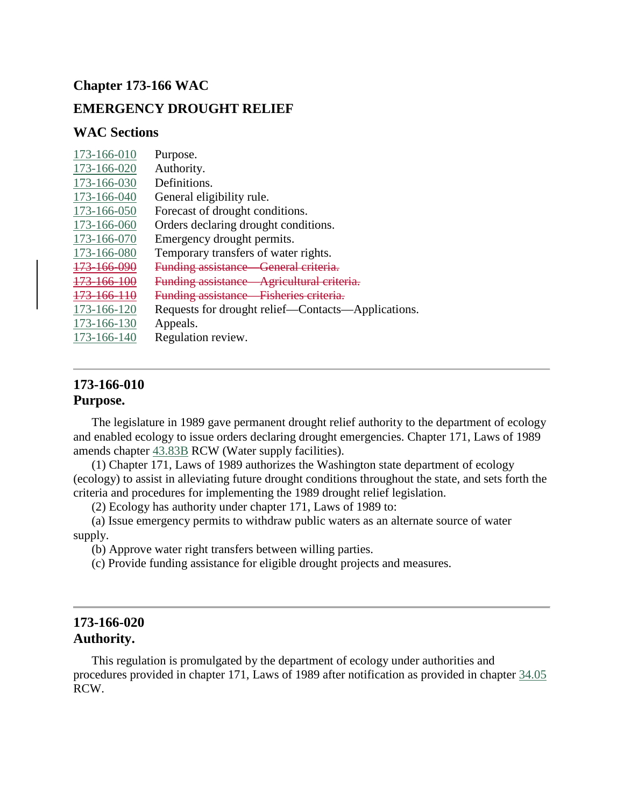# **Chapter 173-166 WAC**

## **EMERGENCY DROUGHT RELIEF**

### **WAC Sections**

| 173-166-010           | Purpose.                                            |
|-----------------------|-----------------------------------------------------|
| 173-166-020           | Authority.                                          |
| 173-166-030           | Definitions.                                        |
| 173-166-040           | General eligibility rule.                           |
| 173-166-050           | Forecast of drought conditions.                     |
| 173-166-060           | Orders declaring drought conditions.                |
| 173-166-070           | Emergency drought permits.                          |
| 173-166-080           | Temporary transfers of water rights.                |
| <del>73-166-091</del> | <b>Funding assistance</b><br>General criteria.      |
| 166 11                | <b>Funding assistance</b><br>Agricultural criteria. |
| <del>-166-110</del>   | <b>Funding assistance</b><br>Fisheries criteria.    |
| 173-166-120           | Requests for drought relief—Contacts—Applications.  |
| 173-166-130           | Appeals.                                            |
| 173-166-140           | Regulation review.                                  |
|                       |                                                     |

## **173-166-010 Purpose.**

The legislature in 1989 gave permanent drought relief authority to the department of ecology and enabled ecology to issue orders declaring drought emergencies. Chapter 171, Laws of 1989 amends chapter [43.83B](http://app.leg.wa.gov/RCW/default.aspx?cite=43.83B) RCW (Water supply facilities).

(1) Chapter 171, Laws of 1989 authorizes the Washington state department of ecology (ecology) to assist in alleviating future drought conditions throughout the state, and sets forth the criteria and procedures for implementing the 1989 drought relief legislation.

(2) Ecology has authority under chapter 171, Laws of 1989 to:

(a) Issue emergency permits to withdraw public waters as an alternate source of water supply.

(b) Approve water right transfers between willing parties.

(c) Provide funding assistance for eligible drought projects and measures.

## **173-166-020 Authority.**

This regulation is promulgated by the department of ecology under authorities and procedures provided in chapter 171, Laws of 1989 after notification as provided in chapter [34.05](http://app.leg.wa.gov/RCW/default.aspx?cite=34.05) RCW.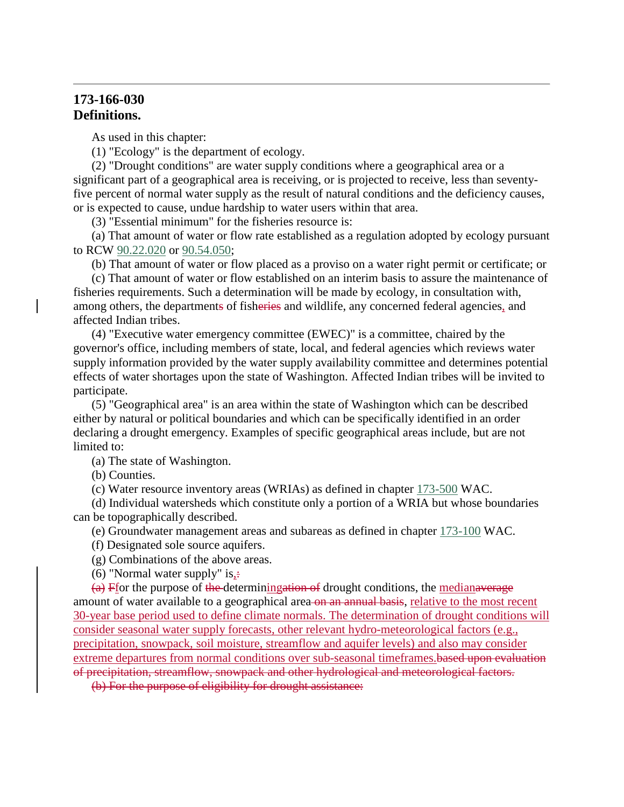## **173-166-030 Definitions.**

As used in this chapter:

(1) "Ecology" is the department of ecology.

(2) "Drought conditions" are water supply conditions where a geographical area or a significant part of a geographical area is receiving, or is projected to receive, less than seventyfive percent of normal water supply as the result of natural conditions and the deficiency causes, or is expected to cause, undue hardship to water users within that area.

(3) "Essential minimum" for the fisheries resource is:

(a) That amount of water or flow rate established as a regulation adopted by ecology pursuant to RCW [90.22.020](http://app.leg.wa.gov/RCW/default.aspx?cite=90.22.020) or [90.54.050;](http://app.leg.wa.gov/RCW/default.aspx?cite=90.54.050)

(b) That amount of water or flow placed as a proviso on a water right permit or certificate; or

(c) That amount of water or flow established on an interim basis to assure the maintenance of fisheries requirements. Such a determination will be made by ecology, in consultation with, among others, the departments of fisheries and wildlife, any concerned federal agencies, and affected Indian tribes.

(4) "Executive water emergency committee (EWEC)" is a committee, chaired by the governor's office, including members of state, local, and federal agencies which reviews water supply information provided by the water supply availability committee and determines potential effects of water shortages upon the state of Washington. Affected Indian tribes will be invited to participate.

(5) "Geographical area" is an area within the state of Washington which can be described either by natural or political boundaries and which can be specifically identified in an order declaring a drought emergency. Examples of specific geographical areas include, but are not limited to:

(a) The state of Washington.

(b) Counties.

(c) Water resource inventory areas (WRIAs) as defined in chapter [173-500](http://app.leg.wa.gov/WAC/default.aspx?cite=173-500) WAC.

(d) Individual watersheds which constitute only a portion of a WRIA but whose boundaries can be topographically described.

(e) Groundwater management areas and subareas as defined in chapter [173-100](http://app.leg.wa.gov/WAC/default.aspx?cite=173-100) WAC.

(f) Designated sole source aquifers.

(g) Combinations of the above areas.

(6) "Normal water supply" is, $\div$ 

 $(a)$  Ffor the purpose of the determiningation of drought conditions, the medianaverage amount of water available to a geographical area on an annual basis, relative to the most recent 30-year base period used to define climate normals. The determination of drought conditions will consider seasonal water supply forecasts, other relevant hydro-meteorological factors (e.g., precipitation, snowpack, soil moisture, streamflow and aquifer levels) and also may consider extreme departures from normal conditions over sub-seasonal timeframes. based upon evaluation of precipitation, streamflow, snowpack and other hydrological and meteorological factors.

(b) For the purpose of eligibility for drought assistance: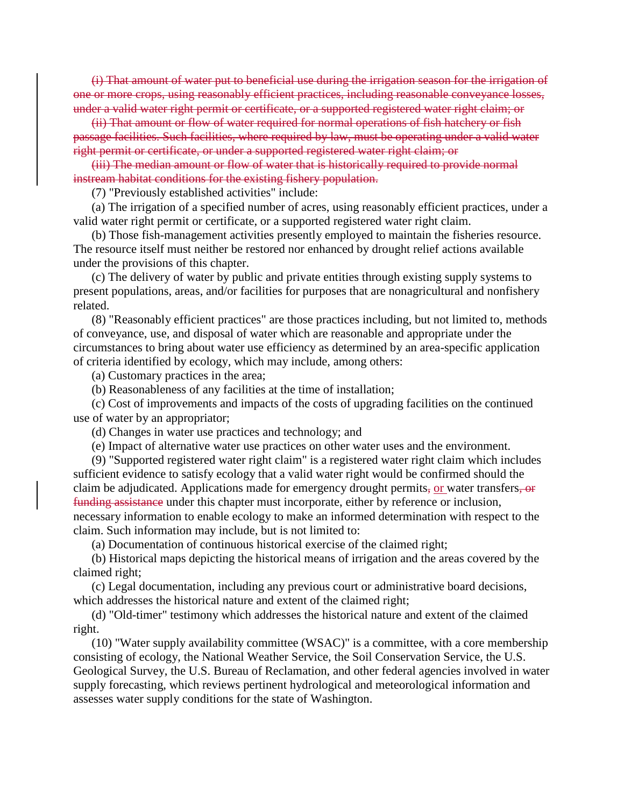(i) That amount of water put to beneficial use during the irrigation season for the irrigation of one or more crops, using reasonably efficient practices, including reasonable conveyance losses, under a valid water right permit or certificate, or a supported registered water right claim; or

(ii) That amount or flow of water required for normal operations of fish hatchery or fish passage facilities. Such facilities, where required by law, must be operating under a valid water right permit or certificate, or under a supported registered water right claim; or

(iii) The median amount or flow of water that is historically required to provide normal instream habitat conditions for the existing fishery population.

(7) "Previously established activities" include:

(a) The irrigation of a specified number of acres, using reasonably efficient practices, under a valid water right permit or certificate, or a supported registered water right claim.

(b) Those fish-management activities presently employed to maintain the fisheries resource. The resource itself must neither be restored nor enhanced by drought relief actions available under the provisions of this chapter.

(c) The delivery of water by public and private entities through existing supply systems to present populations, areas, and/or facilities for purposes that are nonagricultural and nonfishery related.

(8) "Reasonably efficient practices" are those practices including, but not limited to, methods of conveyance, use, and disposal of water which are reasonable and appropriate under the circumstances to bring about water use efficiency as determined by an area-specific application of criteria identified by ecology, which may include, among others:

(a) Customary practices in the area;

(b) Reasonableness of any facilities at the time of installation;

(c) Cost of improvements and impacts of the costs of upgrading facilities on the continued use of water by an appropriator;

(d) Changes in water use practices and technology; and

(e) Impact of alternative water use practices on other water uses and the environment.

(9) "Supported registered water right claim" is a registered water right claim which includes sufficient evidence to satisfy ecology that a valid water right would be confirmed should the claim be adjudicated. Applications made for emergency drought permits, or water transfers, or funding assistance under this chapter must incorporate, either by reference or inclusion, necessary information to enable ecology to make an informed determination with respect to the claim. Such information may include, but is not limited to:

(a) Documentation of continuous historical exercise of the claimed right;

(b) Historical maps depicting the historical means of irrigation and the areas covered by the claimed right;

(c) Legal documentation, including any previous court or administrative board decisions, which addresses the historical nature and extent of the claimed right;

(d) "Old-timer" testimony which addresses the historical nature and extent of the claimed right.

(10) "Water supply availability committee (WSAC)" is a committee, with a core membership consisting of ecology, the National Weather Service, the Soil Conservation Service, the U.S. Geological Survey, the U.S. Bureau of Reclamation, and other federal agencies involved in water supply forecasting, which reviews pertinent hydrological and meteorological information and assesses water supply conditions for the state of Washington.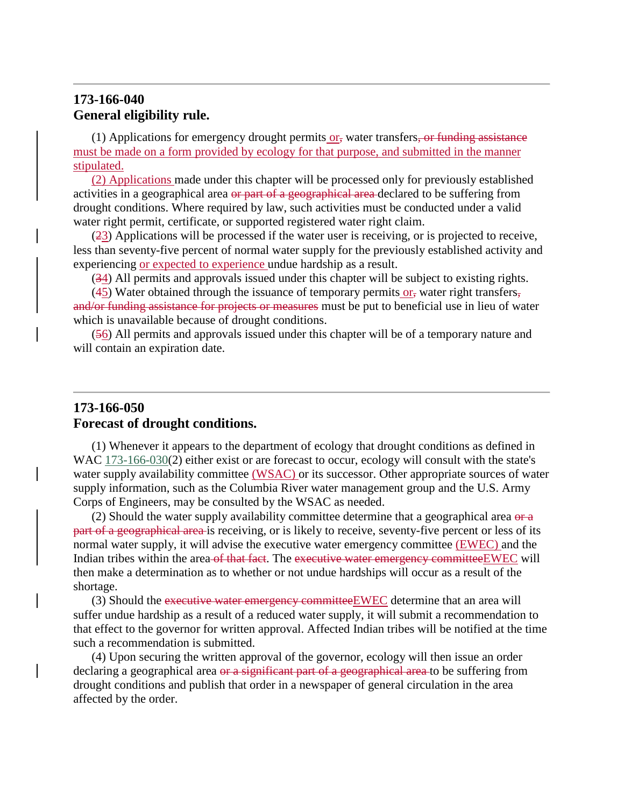# **173-166-040 General eligibility rule.**

 $(1)$  Applications for emergency drought permits or, water transfers, or funding assistance must be made on a form provided by ecology for that purpose, and submitted in the manner stipulated.

(2) Applications made under this chapter will be processed only for previously established activities in a geographical area or part of a geographical area declared to be suffering from drought conditions. Where required by law, such activities must be conducted under a valid water right permit, certificate, or supported registered water right claim.

(23) Applications will be processed if the water user is receiving, or is projected to receive, less than seventy-five percent of normal water supply for the previously established activity and experiencing or expected to experience undue hardship as a result.

(34) All permits and approvals issued under this chapter will be subject to existing rights.

(45) Water obtained through the issuance of temporary permits or, water right transfers, and/or funding assistance for projects or measures must be put to beneficial use in lieu of water which is unavailable because of drought conditions.

(56) All permits and approvals issued under this chapter will be of a temporary nature and will contain an expiration date.

## **173-166-050 Forecast of drought conditions.**

(1) Whenever it appears to the department of ecology that drought conditions as defined in WAC [173-166-030\(](http://app.leg.wa.gov/WAC/default.aspx?cite=173-166-030)2) either exist or are forecast to occur, ecology will consult with the state's water supply availability committee (WSAC) or its successor. Other appropriate sources of water supply information, such as the Columbia River water management group and the U.S. Army Corps of Engineers, may be consulted by the WSAC as needed.

(2) Should the water supply availability committee determine that a geographical area  $\theta$ part of a geographical area is receiving, or is likely to receive, seventy-five percent or less of its normal water supply, it will advise the executive water emergency committee (EWEC) and the Indian tribes within the area of that fact. The executive water emergency committee EWEC will then make a determination as to whether or not undue hardships will occur as a result of the shortage.

(3) Should the executive water emergency committee EWEC determine that an area will suffer undue hardship as a result of a reduced water supply, it will submit a recommendation to that effect to the governor for written approval. Affected Indian tribes will be notified at the time such a recommendation is submitted.

(4) Upon securing the written approval of the governor, ecology will then issue an order declaring a geographical area or a significant part of a geographical area to be suffering from drought conditions and publish that order in a newspaper of general circulation in the area affected by the order.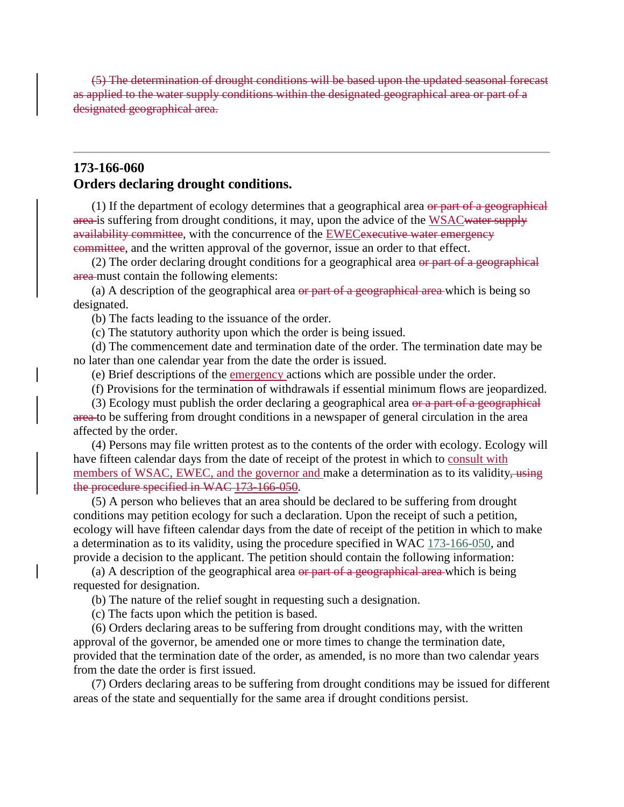(5) The determination of drought conditions will be based upon the updated seasonal forecast as applied to the water supply conditions within the designated geographical area or part of a designated geographical area.

## **173-166-060 Orders declaring drought conditions.**

 $(1)$  If the department of ecology determines that a geographical area or part of a geographical area is suffering from drought conditions, it may, upon the advice of the WSAC water supply availability committee, with the concurrence of the **EWEC** executive water emergency committee, and the written approval of the governor, issue an order to that effect.

(2) The order declaring drought conditions for a geographical area  $\Theta$  area  $\Theta$  area geographical area must contain the following elements:

(a) A description of the geographical area  $\theta$  part of a geographical area which is being so designated.

(b) The facts leading to the issuance of the order.

(c) The statutory authority upon which the order is being issued.

(d) The commencement date and termination date of the order. The termination date may be no later than one calendar year from the date the order is issued.

(e) Brief descriptions of the emergency actions which are possible under the order.

(f) Provisions for the termination of withdrawals if essential minimum flows are jeopardized.

(3) Ecology must publish the order declaring a geographical area  $\theta$  and  $\theta$  a geographical area to be suffering from drought conditions in a newspaper of general circulation in the area affected by the order.

(4) Persons may file written protest as to the contents of the order with ecology. Ecology will have fifteen calendar days from the date of receipt of the protest in which to consult with members of WSAC, EWEC, and the governor and make a determination as to its validity, using the procedure specified in WAC 173-166-050.

(5) A person who believes that an area should be declared to be suffering from drought conditions may petition ecology for such a declaration. Upon the receipt of such a petition, ecology will have fifteen calendar days from the date of receipt of the petition in which to make a determination as to its validity, using the procedure specified in WAC [173-166-050,](http://app.leg.wa.gov/WAC/default.aspx?cite=173-166-050) and provide a decision to the applicant. The petition should contain the following information:

(a) A description of the geographical area  $\Theta$  part of a geographical area which is being requested for designation.

(b) The nature of the relief sought in requesting such a designation.

(c) The facts upon which the petition is based.

(6) Orders declaring areas to be suffering from drought conditions may, with the written approval of the governor, be amended one or more times to change the termination date, provided that the termination date of the order, as amended, is no more than two calendar years from the date the order is first issued.

(7) Orders declaring areas to be suffering from drought conditions may be issued for different areas of the state and sequentially for the same area if drought conditions persist.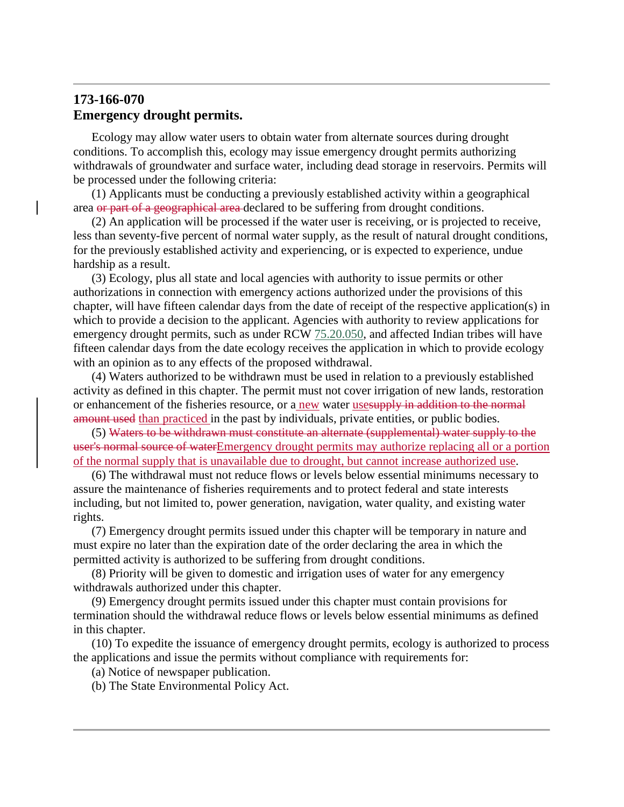# **173-166-070 Emergency drought permits.**

Ecology may allow water users to obtain water from alternate sources during drought conditions. To accomplish this, ecology may issue emergency drought permits authorizing withdrawals of groundwater and surface water, including dead storage in reservoirs. Permits will be processed under the following criteria:

(1) Applicants must be conducting a previously established activity within a geographical area or part of a geographical area declared to be suffering from drought conditions.

(2) An application will be processed if the water user is receiving, or is projected to receive, less than seventy-five percent of normal water supply, as the result of natural drought conditions, for the previously established activity and experiencing, or is expected to experience, undue hardship as a result.

(3) Ecology, plus all state and local agencies with authority to issue permits or other authorizations in connection with emergency actions authorized under the provisions of this chapter, will have fifteen calendar days from the date of receipt of the respective application(s) in which to provide a decision to the applicant. Agencies with authority to review applications for emergency drought permits, such as under RCW  $75.20.050$ , and affected Indian tribes will have fifteen calendar days from the date ecology receives the application in which to provide ecology with an opinion as to any effects of the proposed withdrawal.

(4) Waters authorized to be withdrawn must be used in relation to a previously established activity as defined in this chapter. The permit must not cover irrigation of new lands, restoration or enhancement of the fisheries resource, or a new water usesupply in addition to the normal amount used than practiced in the past by individuals, private entities, or public bodies.

(5) Waters to be withdrawn must constitute an alternate (supplemental) water supply to the user's normal source of waterEmergency drought permits may authorize replacing all or a portion of the normal supply that is unavailable due to drought, but cannot increase authorized use.

(6) The withdrawal must not reduce flows or levels below essential minimums necessary to assure the maintenance of fisheries requirements and to protect federal and state interests including, but not limited to, power generation, navigation, water quality, and existing water rights.

(7) Emergency drought permits issued under this chapter will be temporary in nature and must expire no later than the expiration date of the order declaring the area in which the permitted activity is authorized to be suffering from drought conditions.

(8) Priority will be given to domestic and irrigation uses of water for any emergency withdrawals authorized under this chapter.

(9) Emergency drought permits issued under this chapter must contain provisions for termination should the withdrawal reduce flows or levels below essential minimums as defined in this chapter.

(10) To expedite the issuance of emergency drought permits, ecology is authorized to process the applications and issue the permits without compliance with requirements for:

(a) Notice of newspaper publication.

(b) The State Environmental Policy Act.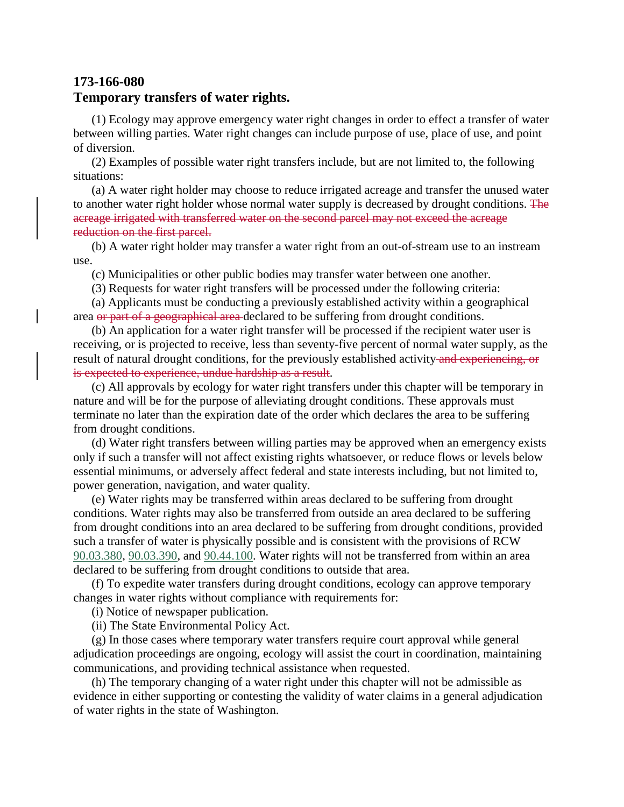# **173-166-080 Temporary transfers of water rights.**

(1) Ecology may approve emergency water right changes in order to effect a transfer of water between willing parties. Water right changes can include purpose of use, place of use, and point of diversion.

(2) Examples of possible water right transfers include, but are not limited to, the following situations:

(a) A water right holder may choose to reduce irrigated acreage and transfer the unused water to another water right holder whose normal water supply is decreased by drought conditions. The acreage irrigated with transferred water on the second parcel may not exceed the acreage reduction on the first parcel.

(b) A water right holder may transfer a water right from an out-of-stream use to an instream use.

(c) Municipalities or other public bodies may transfer water between one another.

(3) Requests for water right transfers will be processed under the following criteria:

(a) Applicants must be conducting a previously established activity within a geographical area or part of a geographical area declared to be suffering from drought conditions.

(b) An application for a water right transfer will be processed if the recipient water user is receiving, or is projected to receive, less than seventy-five percent of normal water supply, as the result of natural drought conditions, for the previously established activity-and experiencing, or is expected to experience, undue hardship as a result.

(c) All approvals by ecology for water right transfers under this chapter will be temporary in nature and will be for the purpose of alleviating drought conditions. These approvals must terminate no later than the expiration date of the order which declares the area to be suffering from drought conditions.

(d) Water right transfers between willing parties may be approved when an emergency exists only if such a transfer will not affect existing rights whatsoever, or reduce flows or levels below essential minimums, or adversely affect federal and state interests including, but not limited to, power generation, navigation, and water quality.

(e) Water rights may be transferred within areas declared to be suffering from drought conditions. Water rights may also be transferred from outside an area declared to be suffering from drought conditions into an area declared to be suffering from drought conditions, provided such a transfer of water is physically possible and is consistent with the provisions of RCW [90.03.380,](http://app.leg.wa.gov/RCW/default.aspx?cite=90.03.380) [90.03.390,](http://app.leg.wa.gov/RCW/default.aspx?cite=90.03.390) and [90.44.100.](http://app.leg.wa.gov/RCW/default.aspx?cite=90.44.100) Water rights will not be transferred from within an area declared to be suffering from drought conditions to outside that area.

(f) To expedite water transfers during drought conditions, ecology can approve temporary changes in water rights without compliance with requirements for:

(i) Notice of newspaper publication.

(ii) The State Environmental Policy Act.

(g) In those cases where temporary water transfers require court approval while general adjudication proceedings are ongoing, ecology will assist the court in coordination, maintaining communications, and providing technical assistance when requested.

(h) The temporary changing of a water right under this chapter will not be admissible as evidence in either supporting or contesting the validity of water claims in a general adjudication of water rights in the state of Washington.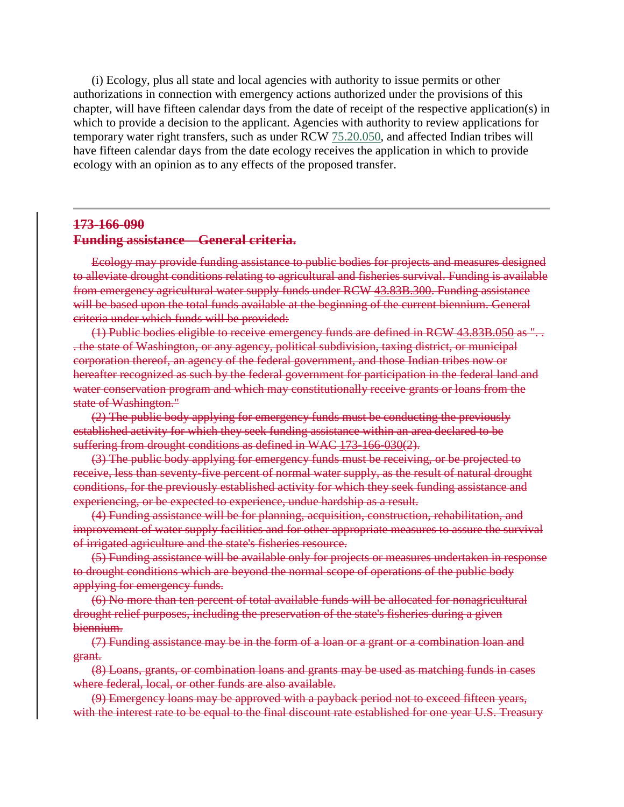(i) Ecology, plus all state and local agencies with authority to issue permits or other authorizations in connection with emergency actions authorized under the provisions of this chapter, will have fifteen calendar days from the date of receipt of the respective application(s) in which to provide a decision to the applicant. Agencies with authority to review applications for temporary water right transfers, such as under RCW [75.20.050,](http://app.leg.wa.gov/RCW/default.aspx?cite=75.20.050) and affected Indian tribes will have fifteen calendar days from the date ecology receives the application in which to provide ecology with an opinion as to any effects of the proposed transfer.

### **173-166-090**

#### **Funding assistance—General criteria.**

Ecology may provide funding assistance to public bodies for projects and measures designed to alleviate drought conditions relating to agricultural and fisheries survival. Funding is available from emergency agricultural water supply funds under RCW 43.83B.300. Funding assistance will be based upon the total funds available at the beginning of the current biennium. General criteria under which funds will be provided:

(1) Public bodies eligible to receive emergency funds are defined in RCW 43.83B.050 as ". . . the state of Washington, or any agency, political subdivision, taxing district, or municipal corporation thereof, an agency of the federal government, and those Indian tribes now or hereafter recognized as such by the federal government for participation in the federal land and water conservation program and which may constitutionally receive grants or loans from the state of Washington."

(2) The public body applying for emergency funds must be conducting the previously established activity for which they seek funding assistance within an area declared to be suffering from drought conditions as defined in WAC 173-166-030(2).

(3) The public body applying for emergency funds must be receiving, or be projected to receive, less than seventy-five percent of normal water supply, as the result of natural drought conditions, for the previously established activity for which they seek funding assistance and experiencing, or be expected to experience, undue hardship as a result.

(4) Funding assistance will be for planning, acquisition, construction, rehabilitation, and improvement of water supply facilities and for other appropriate measures to assure the survival of irrigated agriculture and the state's fisheries resource.

(5) Funding assistance will be available only for projects or measures undertaken in response to drought conditions which are beyond the normal scope of operations of the public body applying for emergency funds.

(6) No more than ten percent of total available funds will be allocated for nonagricultural drought relief purposes, including the preservation of the state's fisheries during a given biennium.

(7) Funding assistance may be in the form of a loan or a grant or a combination loan and grant.

(8) Loans, grants, or combination loans and grants may be used as matching funds in cases where federal, local, or other funds are also available.

(9) Emergency loans may be approved with a payback period not to exceed fifteen years, with the interest rate to be equal to the final discount rate established for one year U.S. Treasury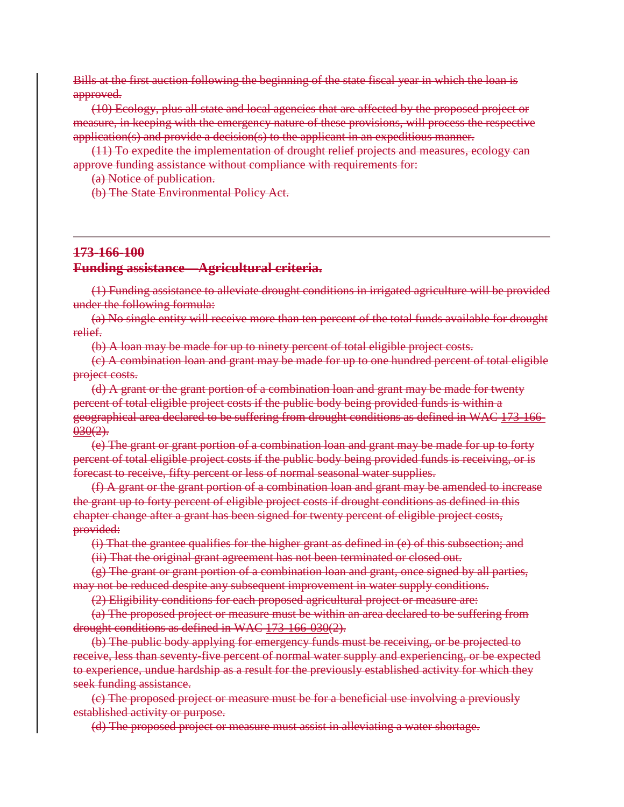Bills at the first auction following the beginning of the state fiscal year in which the loan is approved.

(10) Ecology, plus all state and local agencies that are affected by the proposed project or measure, in keeping with the emergency nature of these provisions, will process the respective application(s) and provide a decision(s) to the applicant in an expeditious manner.

(11) To expedite the implementation of drought relief projects and measures, ecology can approve funding assistance without compliance with requirements for:

(a) Notice of publication.

(b) The State Environmental Policy Act.

#### **173-166-100**

#### **Funding assistance—Agricultural criteria.**

(1) Funding assistance to alleviate drought conditions in irrigated agriculture will be provided under the following formula:

(a) No single entity will receive more than ten percent of the total funds available for drought relief.

(b) A loan may be made for up to ninety percent of total eligible project costs.

(c) A combination loan and grant may be made for up to one hundred percent of total eligible project costs.

(d) A grant or the grant portion of a combination loan and grant may be made for twenty percent of total eligible project costs if the public body being provided funds is within a geographical area declared to be suffering from drought conditions as defined in WAC 173-166-  $030(2)$ .

(e) The grant or grant portion of a combination loan and grant may be made for up to forty percent of total eligible project costs if the public body being provided funds is receiving, or is forecast to receive, fifty percent or less of normal seasonal water supplies.

(f) A grant or the grant portion of a combination loan and grant may be amended to increase the grant up to forty percent of eligible project costs if drought conditions as defined in this chapter change after a grant has been signed for twenty percent of eligible project costs, provided:

(i) That the grantee qualifies for the higher grant as defined in (e) of this subsection; and

(ii) That the original grant agreement has not been terminated or closed out.

(g) The grant or grant portion of a combination loan and grant, once signed by all parties, may not be reduced despite any subsequent improvement in water supply conditions.

(2) Eligibility conditions for each proposed agricultural project or measure are:

(a) The proposed project or measure must be within an area declared to be suffering from drought conditions as defined in WAC 173-166-030(2).

(b) The public body applying for emergency funds must be receiving, or be projected to receive, less than seventy-five percent of normal water supply and experiencing, or be expected to experience, undue hardship as a result for the previously established activity for which they seek funding assistance.

(c) The proposed project or measure must be for a beneficial use involving a previously established activity or purpose.

(d) The proposed project or measure must assist in alleviating a water shortage.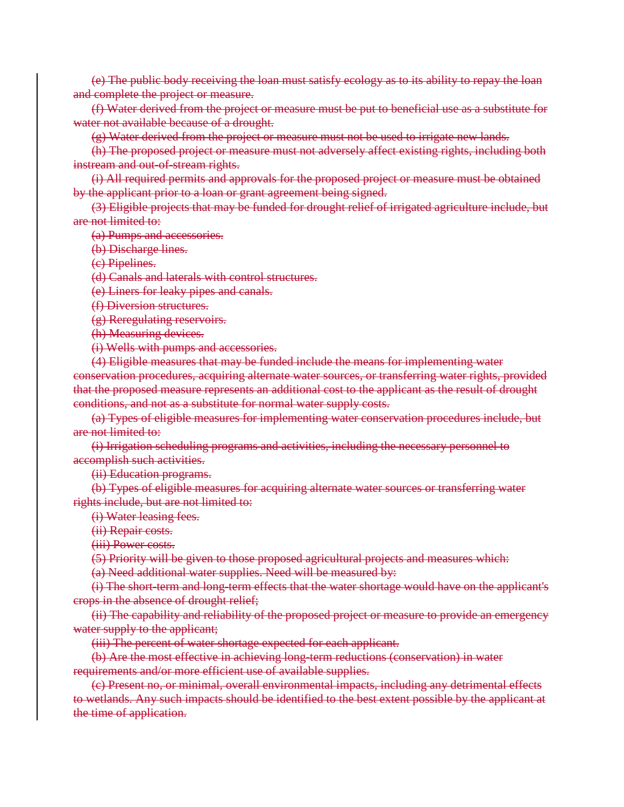(e) The public body receiving the loan must satisfy ecology as to its ability to repay the loan and complete the project or measure.

(f) Water derived from the project or measure must be put to beneficial use as a substitute for water not available because of a drought.

(g) Water derived from the project or measure must not be used to irrigate new lands.

(h) The proposed project or measure must not adversely affect existing rights, including both instream and out-of-stream rights.

(i) All required permits and approvals for the proposed project or measure must be obtained by the applicant prior to a loan or grant agreement being signed.

(3) Eligible projects that may be funded for drought relief of irrigated agriculture include, but are not limited to:

(a) Pumps and accessories.

(b) Discharge lines.

(c) Pipelines.

(d) Canals and laterals with control structures.

(e) Liners for leaky pipes and canals.

(f) Diversion structures.

(g) Reregulating reservoirs.

(h) Measuring devices.

(i) Wells with pumps and accessories.

(4) Eligible measures that may be funded include the means for implementing water conservation procedures, acquiring alternate water sources, or transferring water rights, provided that the proposed measure represents an additional cost to the applicant as the result of drought conditions, and not as a substitute for normal water supply costs.

(a) Types of eligible measures for implementing water conservation procedures include, but are not limited to:

(i) Irrigation scheduling programs and activities, including the necessary personnel to accomplish such activities.

(ii) Education programs.

(b) Types of eligible measures for acquiring alternate water sources or transferring water rights include, but are not limited to:

(i) Water leasing fees.

(ii) Repair costs.

(iii) Power costs.

(5) Priority will be given to those proposed agricultural projects and measures which:

(a) Need additional water supplies. Need will be measured by:

(i) The short-term and long-term effects that the water shortage would have on the applicant's crops in the absence of drought relief;

(ii) The capability and reliability of the proposed project or measure to provide an emergency water supply to the applicant;

(iii) The percent of water shortage expected for each applicant.

(b) Are the most effective in achieving long-term reductions (conservation) in water requirements and/or more efficient use of available supplies.

(c) Present no, or minimal, overall environmental impacts, including any detrimental effects to wetlands. Any such impacts should be identified to the best extent possible by the applicant at the time of application.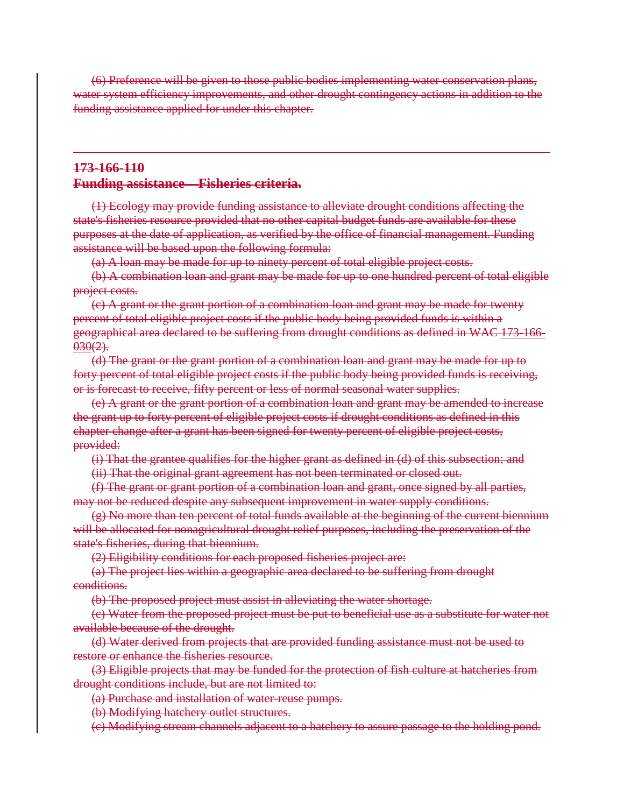(6) Preference will be given to those public bodies implementing water conservation plans, water system efficiency improvements, and other drought contingency actions in addition to the funding assistance applied for under this chapter.

### **173-166-110 Funding assistance—Fisheries criteria.**

(1) Ecology may provide funding assistance to alleviate drought conditions affecting the state's fisheries resource provided that no other capital budget funds are available for these purposes at the date of application, as verified by the office of financial management. Funding assistance will be based upon the following formula:

(a) A loan may be made for up to ninety percent of total eligible project costs.

(b) A combination loan and grant may be made for up to one hundred percent of total eligible project costs.

(c) A grant or the grant portion of a combination loan and grant may be made for twenty percent of total eligible project costs if the public body being provided funds is within a geographical area declared to be suffering from drought conditions as defined in WAC 173-166-  $030(2)$ .

(d) The grant or the grant portion of a combination loan and grant may be made for up to forty percent of total eligible project costs if the public body being provided funds is receiving, or is forecast to receive, fifty percent or less of normal seasonal water supplies.

(e) A grant or the grant portion of a combination loan and grant may be amended to increase the grant up to forty percent of eligible project costs if drought conditions as defined in this chapter change after a grant has been signed for twenty percent of eligible project costs, provided:

(i) That the grantee qualifies for the higher grant as defined in (d) of this subsection; and

(ii) That the original grant agreement has not been terminated or closed out.

(f) The grant or grant portion of a combination loan and grant, once signed by all parties, may not be reduced despite any subsequent improvement in water supply conditions.

(g) No more than ten percent of total funds available at the beginning of the current biennium will be allocated for nonagricultural drought relief purposes, including the preservation of the state's fisheries, during that biennium.

(2) Eligibility conditions for each proposed fisheries project are:

(a) The project lies within a geographic area declared to be suffering from drought conditions.

(b) The proposed project must assist in alleviating the water shortage.

(c) Water from the proposed project must be put to beneficial use as a substitute for water not available because of the drought.

(d) Water derived from projects that are provided funding assistance must not be used to restore or enhance the fisheries resource.

(3) Eligible projects that may be funded for the protection of fish culture at hatcheries from drought conditions include, but are not limited to:

(a) Purchase and installation of water-reuse pumps.

(b) Modifying hatchery outlet structures.

(c) Modifying stream channels adjacent to a hatchery to assure passage to the holding pond.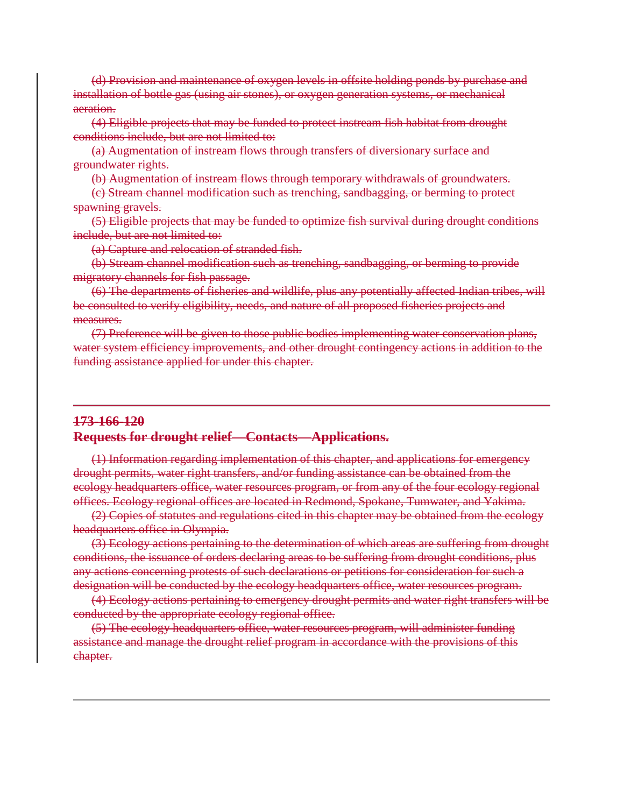(d) Provision and maintenance of oxygen levels in offsite holding ponds by purchase and installation of bottle gas (using air stones), or oxygen generation systems, or mechanical aeration.

(4) Eligible projects that may be funded to protect instream fish habitat from drought conditions include, but are not limited to:

(a) Augmentation of instream flows through transfers of diversionary surface and groundwater rights.

(b) Augmentation of instream flows through temporary withdrawals of groundwaters.

(c) Stream channel modification such as trenching, sandbagging, or berming to protect spawning gravels.

(5) Eligible projects that may be funded to optimize fish survival during drought conditions include, but are not limited to:

(a) Capture and relocation of stranded fish.

(b) Stream channel modification such as trenching, sandbagging, or berming to provide migratory channels for fish passage.

(6) The departments of fisheries and wildlife, plus any potentially affected Indian tribes, will be consulted to verify eligibility, needs, and nature of all proposed fisheries projects and measures.

(7) Preference will be given to those public bodies implementing water conservation plans, water system efficiency improvements, and other drought contingency actions in addition to the funding assistance applied for under this chapter.

## **173-166-120 Requests for drought relief—Contacts—Applications.**

(1) Information regarding implementation of this chapter, and applications for emergency drought permits, water right transfers, and/or funding assistance can be obtained from the ecology headquarters office, water resources program, or from any of the four ecology regional offices. Ecology regional offices are located in Redmond, Spokane, Tumwater, and Yakima.

(2) Copies of statutes and regulations cited in this chapter may be obtained from the ecology headquarters office in Olympia.

(3) Ecology actions pertaining to the determination of which areas are suffering from drought conditions, the issuance of orders declaring areas to be suffering from drought conditions, plus any actions concerning protests of such declarations or petitions for consideration for such a designation will be conducted by the ecology headquarters office, water resources program.

(4) Ecology actions pertaining to emergency drought permits and water right transfers will be conducted by the appropriate ecology regional office.

(5) The ecology headquarters office, water resources program, will administer funding assistance and manage the drought relief program in accordance with the provisions of this chapter.